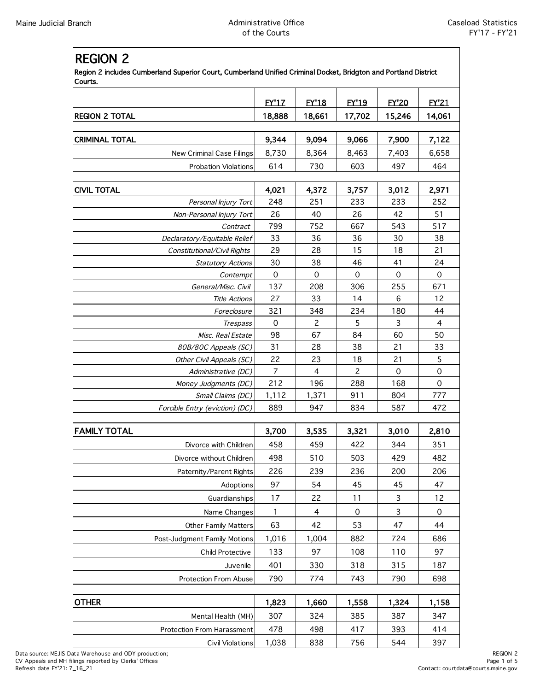## REGION 2

Region 2 includes Cumberland Superior Court, Cumberland Unified Criminal Docket, Bridgton and Portland District Courts.

|                                 | <b>EY'17</b>              | <b>EY'18</b>   | <b>EY'19</b>        | <b>FY'20</b>              |                           |
|---------------------------------|---------------------------|----------------|---------------------|---------------------------|---------------------------|
| <b>REGION 2 TOTAL</b>           | 18,888                    | 18,661         | 17,702              | 15,246                    | <b>EY'21</b><br>14,061    |
|                                 |                           |                |                     |                           |                           |
| <b>CRIMINAL TOTAL</b>           | 9,344                     | 9,094          | 9,066               | 7,900                     | 7,122                     |
| New Criminal Case Filings       | 8,730                     | 8,364          | 8,463               | 7,403                     | 6,658                     |
| <b>Probation Violations</b>     | 614                       | 730            | 603                 | 497                       | 464                       |
|                                 |                           |                |                     |                           |                           |
| <b>CIVIL TOTAL</b>              | 4,021                     | 4,372          | 3,757               | 3,012                     | 2,971                     |
| Personal Injury Tort            | 248<br>26                 | 251<br>40      | 233                 | 233                       | 252<br>51                 |
| Non-Personal Injury Tort        |                           |                | 26                  | 42<br>543                 | 517                       |
| Contract                        | 799                       | 752            | 667                 |                           |                           |
| Declaratory/Equitable Relief    | 33<br>29                  | 36             | 36                  | 30                        | 38<br>21                  |
| Constitutional/Civil Rights     |                           | 28             | 15<br>46            | 18                        |                           |
| <b>Statutory Actions</b>        | 30<br>$\mathsf{O}\xspace$ | 38<br>0        | $\mathsf{O}\xspace$ | 41<br>$\mathbf 0$         | 24<br>$\mathsf{O}\xspace$ |
| Contempt<br>General/Misc. Civil | 137                       | 208            | 306                 | 255                       | 671                       |
| <b>Title Actions</b>            | 27                        | 33             | 14                  | 6                         | 12                        |
| Foreclosure                     | 321                       | 348            | 234                 | 180                       | 44                        |
| Trespass                        | 0                         | 2              | 5                   | 3                         | $\overline{4}$            |
| Misc. Real Estate               | 98                        | 67             | 84                  | 60                        | 50                        |
| 80B/80C Appeals (SC)            | 31                        | 28             | 38                  | 21                        | 33                        |
| Other Civil Appeals (SC)        | 22                        | 23             | 18                  | 21                        | 5                         |
| Administrative (DC)             | $\overline{7}$            | $\overline{4}$ | $\overline{2}$      | $\mathbf 0$               | $\mathsf{O}\xspace$       |
| Money Judgments (DC)            | 212                       | 196            | 288                 | 168                       | $\mathbf 0$               |
| Small Claims (DC)               | 1,112                     | 1,371          | 911                 | 804                       | 777                       |
| Forcible Entry (eviction) (DC)  | 889                       | 947            | 834                 | 587                       | 472                       |
|                                 |                           |                |                     |                           |                           |
| <b>FAMILY TOTAL</b>             | 3,700                     | 3,535          | 3,321               | 3,010                     | 2,810                     |
| Divorce with Children           | 458                       | 459            | 422                 | 344                       | 351                       |
| Divorce without Children        | 498                       | 510            | 503                 | 429                       | 482                       |
| Paternity/Parent Rights         | 226                       | 239            | 236                 | 200                       | 206                       |
| Adoptions                       | 97                        | 54             | 45                  | 45                        | 47                        |
| Guardianships                   | 17                        | 22             | 11                  | $\ensuremath{\mathsf{3}}$ | 12                        |
| Name Changes                    | $\mathbf{1}$              | 4              | 0                   | 3                         | $\boldsymbol{0}$          |
| <b>Other Family Matters</b>     | 63                        | 42             | 53                  | 47                        | 44                        |
| Post-Judgment Family Motions    | 1,016                     | 1,004          | 882                 | 724                       | 686                       |
| Child Protective                | 133                       | 97             | 108                 | 110                       | 97                        |
| Juvenile                        | 401                       | 330            | 318                 | 315                       | 187                       |
| <b>Protection From Abuse</b>    | 790                       | 774            | 743                 | 790                       | 698                       |
|                                 |                           |                |                     |                           |                           |
| <b>OTHER</b>                    | 1,823                     | 1,660          | 1,558               | 1,324                     | 1,158                     |
| Mental Health (MH)              | 307                       | 324            | 385                 | 387                       | 347                       |
| Protection From Harassment      | 478                       | 498            | 417                 | 393                       | 414                       |
| Civil Violations                | 1,038                     | 838            | 756                 | 544                       | 397                       |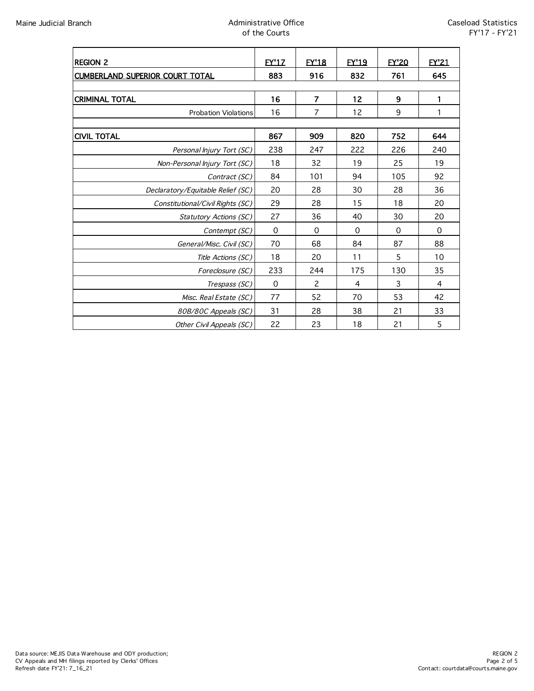## Maine Judicial Branch **Administrative Office** Administrative Office of the Courts

| <b>REGION 2</b>                        | <b>EY'17</b> | <b>EY'18</b>   | <b>EY'19</b> | <b>EY'20</b> | EY21           |  |
|----------------------------------------|--------------|----------------|--------------|--------------|----------------|--|
| <b>CUMBERLAND SUPERIOR COURT TOTAL</b> | 883          | 916            | 832          | 761          | 645            |  |
|                                        |              |                |              |              |                |  |
| <b>CRIMINAL TOTAL</b>                  | 16           | $\overline{7}$ | 12           | 9            | 1              |  |
| <b>Probation Violations</b>            | 16           | $\overline{7}$ | 12           | 9            | 1              |  |
|                                        |              |                |              |              |                |  |
| <b>CIVIL TOTAL</b>                     | 867          | 909            | 820          | 752          | 644            |  |
| Personal Injury Tort (SC)              | 238          | 247            | 222          | 226          | 240            |  |
| Non-Personal Injury Tort (SC)          | 18           | 32             | 19           | 25           | 19             |  |
| Contract (SC)                          | 84           | 101            | 94           | 105          | 92             |  |
| Declaratory/Equitable Relief (SC)      | 20           | 28             | 30           | 28           | 36             |  |
| Constitutional/Civil Rights (SC)       | 29           | 28             | 15           | 18           | 20             |  |
| Statutory Actions (SC)                 | 27           | 36             | 40           | 30           | 20             |  |
| Contempt (SC)                          | $\mathbf 0$  | $\Omega$       | $\Omega$     | $\Omega$     | $\Omega$       |  |
| General/Misc. Civil (SC)               | 70           | 68             | 84           | 87           | 88             |  |
| Title Actions (SC)                     | 18           | 20             | 11           | 5            | 10             |  |
| Foreclosure (SC)                       | 233          | 244            | 175          | 130          | 35             |  |
| Trespass (SC)                          | $\mathbf 0$  | 2              | 4            | 3            | $\overline{4}$ |  |
| Misc. Real Estate (SC)                 | 77           | 52             | 70           | 53           | 42             |  |
| 80B/80C Appeals (SC)                   | 31           | 28             | 38           | 21           | 33             |  |
| Other Civil Appeals (SC)               | 22           | 23             | 18           | 21           | 5              |  |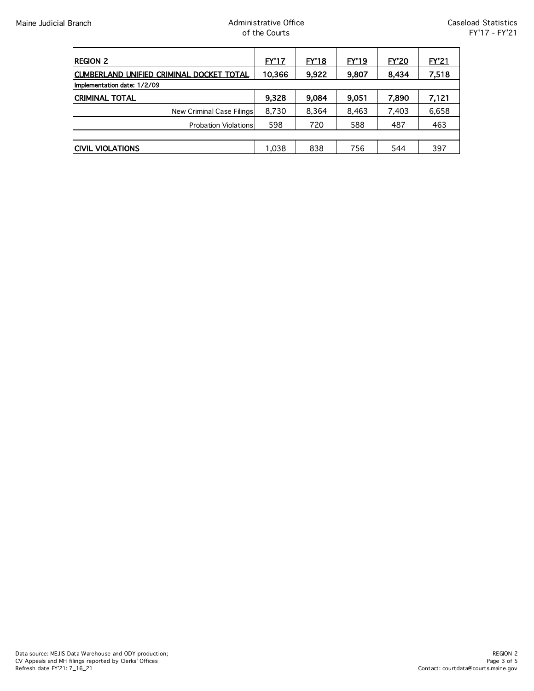| <b>REGION 2</b>                          | EY'17  | <b>EY'18</b> | EY'19 | <b>EY'20</b> | <b>EY'21</b> |  |
|------------------------------------------|--------|--------------|-------|--------------|--------------|--|
| CUMBERLAND UNIFIED CRIMINAL DOCKET TOTAL | 10,366 | 9,922        | 9,807 | 8,434        | 7,518        |  |
| Implementation date: 1/2/09              |        |              |       |              |              |  |
| <b>CRIMINAL TOTAL</b>                    | 9,328  | 9,084        | 9,051 | 7,890        | 7,121        |  |
| New Criminal Case Filings                | 8,730  | 8,364        | 8,463 | 7,403        | 6,658        |  |
| <b>Probation Violations</b>              | 598    | 720          | 588   | 487          | 463          |  |
|                                          |        |              |       |              |              |  |
| ICIVIL VIOLATIONS                        | 1,038  | 838          | 756   | 544          | 397          |  |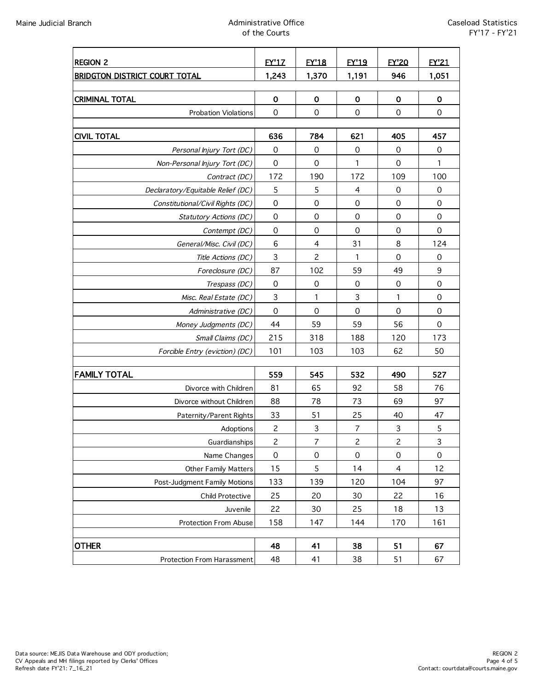## Maine Judicial Branch **Administrative Office** Administrative Office of the Courts

| <b>REGION 2</b>                      | <b>EY'17</b>   | <b>EY'18</b>              | <b>EY'19</b>        | <b>EY'20</b>   | EY'21       |
|--------------------------------------|----------------|---------------------------|---------------------|----------------|-------------|
| <b>BRIDGTON DISTRICT COURT TOTAL</b> | 1,243          | 1,370                     | 1,191               | 946            | 1,051       |
|                                      |                |                           |                     |                |             |
| <b>CRIMINAL TOTAL</b>                | $\mathbf 0$    | $\mathbf 0$               | $\mathbf 0$         | $\mathbf 0$    | $\mathbf 0$ |
| <b>Probation Violations</b>          | $\mathbf 0$    | $\mathbf 0$               | $\mathbf 0$         | $\mathbf 0$    | $\mathbf 0$ |
|                                      |                |                           |                     |                |             |
| <b>CIVIL TOTAL</b>                   | 636            | 784                       | 621                 | 405            | 457         |
| Personal Injury Tort (DC)            | $\mathbf 0$    | $\mathbf 0$               | $\mathbf 0$         | $\mathbf 0$    | 0           |
| Non-Personal Injury Tort (DC)        | $\mathbf 0$    | $\mathbf 0$               | 1                   | $\mathbf 0$    | 1           |
| Contract (DC)                        | 172            | 190                       | 172                 | 109            | 100         |
| Declaratory/Equitable Relief (DC)    | 5              | 5                         | 4                   | 0              | 0           |
| Constitutional/Civil Rights (DC)     | $\mathbf 0$    | $\mathbf 0$               | $\mathbf 0$         | $\mathbf 0$    | $\mathbf 0$ |
| Statutory Actions (DC)               | 0              | 0                         | $\mathbf 0$         | $\mathbf 0$    | $\mathbf 0$ |
| Contempt (DC)                        | 0              | $\mathbf 0$               | $\mathbf 0$         | 0              | $\mathbf 0$ |
| General/Misc. Civil (DC)             | 6              | $\overline{4}$            | 31                  | 8              | 124         |
| Title Actions (DC)                   | $\mathbf{3}$   | $\overline{c}$            | 1                   | $\mathbf 0$    | $\mathbf 0$ |
| Foreclosure (DC)                     | 87             | 102                       | 59                  | 49             | 9           |
| Trespass (DC)                        | $\mathbf 0$    | 0                         | $\mathbf 0$         | 0              | 0           |
| Misc. Real Estate (DC)               | $\mathsf{3}$   | 1                         | $\mathsf 3$         | $\mathbf{1}$   | $\mathbf 0$ |
| Administrative (DC)                  | $\mathbf 0$    | $\mathbf 0$               | $\mathbf 0$         | $\mathbf 0$    | $\mathbf 0$ |
| Money Judgments (DC)                 | 44             | 59                        | 59                  | 56             | $\mathbf 0$ |
| Small Claims (DC)                    | 215            | 318                       | 188                 | 120            | 173         |
| Forcible Entry (eviction) (DC)       | 101            | 103                       | 103                 | 62             | 50          |
|                                      |                |                           |                     |                |             |
| <b>FAMILY TOTAL</b>                  | 559            | 545                       | 532                 | 490            | 527         |
| Divorce with Children                | 81             | 65                        | 92                  | 58             | 76          |
| Divorce without Children             | 88             | 78                        | 73                  | 69             | 97          |
| Paternity/Parent Rights              | 33             | 51                        | 25                  | 40             | 47          |
| Adoptions                            | $\mathbf{2}$   | $\ensuremath{\mathsf{3}}$ | $\overline{7}$      | $\mathsf 3$    | 5           |
| Guardianships                        | $\overline{c}$ | 7                         | 2                   | $\overline{c}$ | 3           |
| Name Changes                         | $\mbox{O}$     | $\mbox{O}$                | $\mathsf{O}\xspace$ | $\mbox{O}$     | $\mathbf 0$ |
| Other Family Matters                 | 15             | 5                         | 14                  | $\overline{4}$ | 12          |
| Post-Judgment Family Motions         | 133            | 139                       | 120                 | 104            | 97          |
| Child Protective                     | 25             | 20                        | 30                  | 22             | 16          |
| Juvenile                             | 22             | 30                        | 25                  | 18             | 13          |
| Protection From Abuse                | 158            | 147                       | 144                 | 170            | 161         |
| <b>OTHER</b>                         | 48             | 41                        | 38                  | 51             | 67          |
| Protection From Harassment           | 48             | 41                        | 38                  | 51             | 67          |